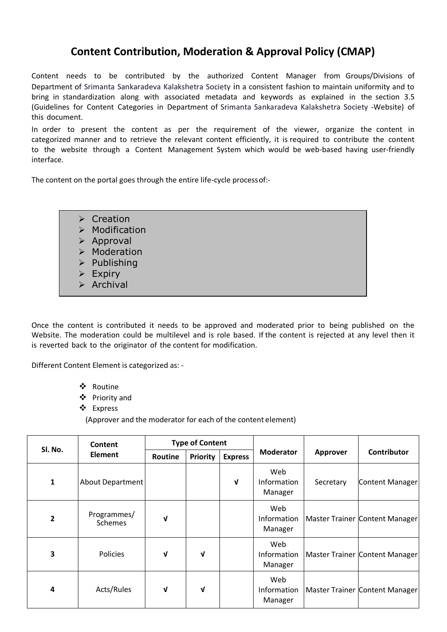## **Content Contribution, Moderation & Approval Policy (CMAP)**

Content needs to be contributed by the authorized Content Manager from Groups/Divisions of Department of Srimanta Sankaradeva Kalakshetra Society in a consistent fashion to maintain uniformity and to bring in standardization along with associated metadata and keywords as explained in the section 3.5 (Guidelines for Content Categories in Department of Srimanta Sankaradeva Kalakshetra Society -Website) of this document.

In order to present the content as per the requirement of the viewer, organize the content in categorized manner and to retrieve the relevant content efficiently, it is required to contribute the content to the website through a Content Management System which would be web-based having user-friendly interface.

The content on the portal goes through the entire life-cycle processof:-

- $\triangleright$  Creation
- $\triangleright$  Modification
- $\triangleright$  Approval
- > Moderation
- $\triangleright$  Publishing
- $\triangleright$  Expiry
- $\triangleright$  Archival

Once the content is contributed it needs to be approved and moderated prior to being published on the Website. The moderation could be multilevel and is role based. If the content is rejected at any level then it is reverted back to the originator of the content for modification.

Different Content Element is categorized as: -

- Routine
- Priority and
- Express

(Approver and the moderator for each of the content element)

| Sl. No.                 | Content<br><b>Element</b> | <b>Type of Content</b> |                 |                |                               |           |                                |
|-------------------------|---------------------------|------------------------|-----------------|----------------|-------------------------------|-----------|--------------------------------|
|                         |                           | Routine                | <b>Priority</b> | <b>Express</b> | <b>Moderator</b>              | Approver  | <b>Contributor</b>             |
| 1                       | <b>About Department</b>   |                        |                 | V              | Web<br>Information<br>Manager | Secretary | Content Manager                |
| $\overline{2}$          | Programmes/<br>Schemes    | ν                      |                 |                | Web<br>Information<br>Manager |           | Master Trainer Content Manager |
| $\overline{\mathbf{3}}$ | <b>Policies</b>           | ν                      | V               |                | Web<br>Information<br>Manager |           | Master Trainer Content Manager |
| 4                       | Acts/Rules                | V                      | V               |                | Web<br>Information<br>Manager |           | Master Trainer Content Manager |